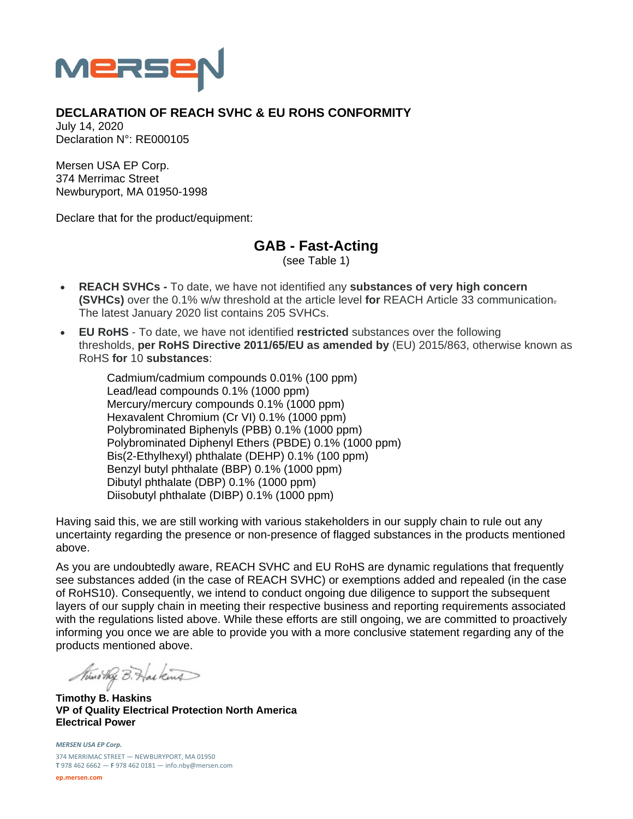

## **DECLARATION OF REACH SVHC & EU ROHS CONFORMITY**

July 14, 2020 Declaration N°: RE000105

Mersen USA EP Corp. 374 Merrimac Street Newburyport, MA 01950-1998

Declare that for the product/equipment:

**GAB - Fast-Acting** 

(see Table 1)

- **REACH SVHCs** To date, we have not identified any **substances of very high concern (SVHCs)** over the 0.1% w/w threshold at the article level **for** REACH Article 33 communication. The latest January 2020 list contains 205 SVHCs.
- **EU RoHS** To date, we have not identified **restricted** substances over the following thresholds, **per RoHS Directive 2011/65/EU as amended by** (EU) 2015/863, otherwise known as RoHS **for** 10 **substances**:

Cadmium/cadmium compounds 0.01% (100 ppm) Lead/lead compounds 0.1% (1000 ppm) Mercury/mercury compounds 0.1% (1000 ppm) Hexavalent Chromium (Cr VI) 0.1% (1000 ppm) Polybrominated Biphenyls (PBB) 0.1% (1000 ppm) Polybrominated Diphenyl Ethers (PBDE) 0.1% (1000 ppm) Bis(2-Ethylhexyl) phthalate (DEHP) 0.1% (100 ppm) Benzyl butyl phthalate (BBP) 0.1% (1000 ppm) Dibutyl phthalate (DBP) 0.1% (1000 ppm) Diisobutyl phthalate (DIBP) 0.1% (1000 ppm)

Having said this, we are still working with various stakeholders in our supply chain to rule out any uncertainty regarding the presence or non-presence of flagged substances in the products mentioned above.

As you are undoubtedly aware, REACH SVHC and EU RoHS are dynamic regulations that frequently see substances added (in the case of REACH SVHC) or exemptions added and repealed (in the case of RoHS10). Consequently, we intend to conduct ongoing due diligence to support the subsequent layers of our supply chain in meeting their respective business and reporting requirements associated with the regulations listed above. While these efforts are still ongoing, we are committed to proactively informing you once we are able to provide you with a more conclusive statement regarding any of the products mentioned above.

Nuno they B. Has kind

**Timothy B. Haskins VP of Quality Electrical Protection North America Electrical Power** 

*MERSEN USA EP Corp.* 374 MERRIMAC STREET — NEWBURYPORT, MA 01950 **T** 978 462 6662 — **F** 978 462 0181 — info.nby@mersen.com

**ep.mersen.com**